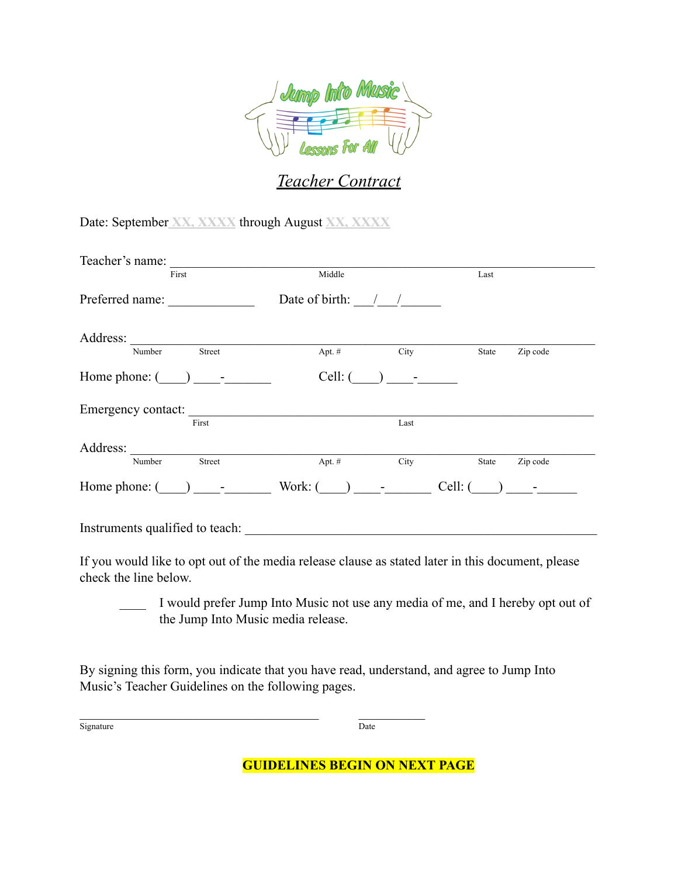

## *Teacher Contract*

Date: September **XX, XXXX** through August **XX, XXXX**

| Teacher's name:                 |                      |                                                                                                                                                                                                                                                                                                                                         |         |                                                                       |
|---------------------------------|----------------------|-----------------------------------------------------------------------------------------------------------------------------------------------------------------------------------------------------------------------------------------------------------------------------------------------------------------------------------------|---------|-----------------------------------------------------------------------|
| First                           | Middle               |                                                                                                                                                                                                                                                                                                                                         | Last    |                                                                       |
| Preferred name:                 | Date of birth: $/$ / |                                                                                                                                                                                                                                                                                                                                         |         |                                                                       |
| Address:                        |                      |                                                                                                                                                                                                                                                                                                                                         |         |                                                                       |
| Street<br>Number                | Apt. #               | City                                                                                                                                                                                                                                                                                                                                    | State   | Zip code                                                              |
| Home phone: $($ ) -             | $Cell:$ (            | ) $-$                                                                                                                                                                                                                                                                                                                                   |         |                                                                       |
| Emergency contact:              |                      |                                                                                                                                                                                                                                                                                                                                         |         |                                                                       |
| First                           |                      | Last                                                                                                                                                                                                                                                                                                                                    |         |                                                                       |
| Address:                        |                      |                                                                                                                                                                                                                                                                                                                                         |         |                                                                       |
| Number<br>Street                | Apt. #               | City                                                                                                                                                                                                                                                                                                                                    | State   | Zip code                                                              |
| Home phone: $($ ) -             | Work: (              | $\left( \begin{array}{ccc} 0 & 0 & 0 \\ 0 & 0 & 0 \\ 0 & 0 & 0 \\ 0 & 0 & 0 \\ 0 & 0 & 0 \\ 0 & 0 & 0 \\ 0 & 0 & 0 \\ 0 & 0 & 0 \\ 0 & 0 & 0 \\ 0 & 0 & 0 \\ 0 & 0 & 0 \\ 0 & 0 & 0 \\ 0 & 0 & 0 \\ 0 & 0 & 0 & 0 \\ 0 & 0 & 0 & 0 \\ 0 & 0 & 0 & 0 \\ 0 & 0 & 0 & 0 \\ 0 & 0 & 0 & 0 & 0 \\ 0 & 0 & 0 & 0 & 0 \\ 0 & 0 & 0 & 0 & 0 \\$ | Cell: ( | $\left( \begin{array}{ccc} 0 & 1 & 1 \ 0 & 0 & 0 \end{array} \right)$ |
| Instruments qualified to teach: |                      |                                                                                                                                                                                                                                                                                                                                         |         |                                                                       |

If you would like to opt out of the media release clause as stated later in this document, please check the line below.

I would prefer Jump Into Music not use any media of me, and I hereby opt out of the Jump Into Music media release.

By signing this form, you indicate that you have read, understand, and agree to Jump Into Music's Teacher Guidelines on the following pages.

 $\mathcal{L}_\text{max}$  , and the set of the set of the set of the set of the set of the set of the set of the set of the set of the set of the set of the set of the set of the set of the set of the set of the set of the set of the

Signature Date

**GUIDELINES BEGIN ON NEXT PAGE**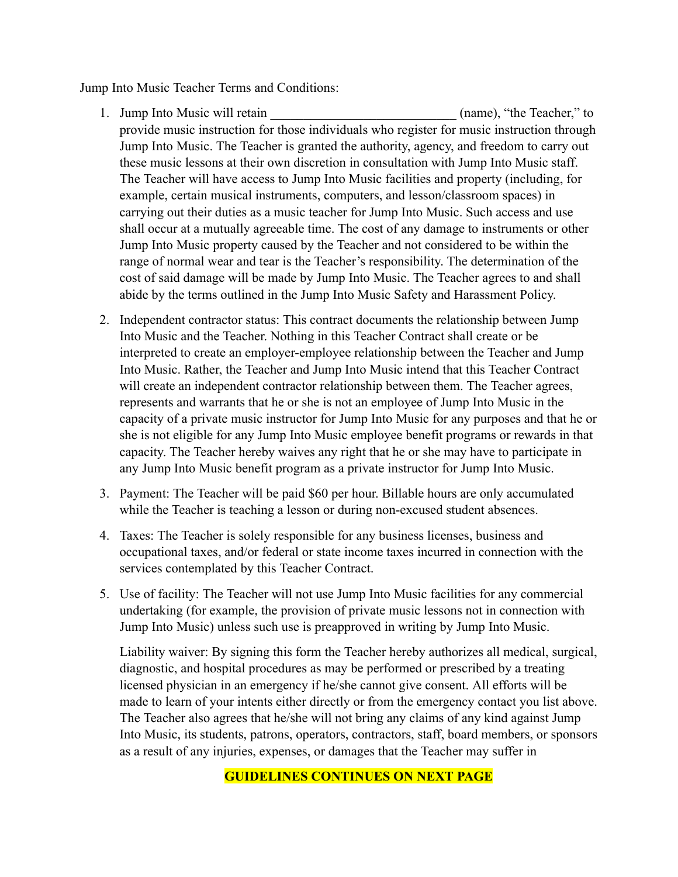Jump Into Music Teacher Terms and Conditions:

- 1. Jump Into Music will retain the same of the Teacher," to the Teacher," to provide music instruction for those individuals who register for music instruction through Jump Into Music. The Teacher is granted the authority, agency, and freedom to carry out these music lessons at their own discretion in consultation with Jump Into Music staff. The Teacher will have access to Jump Into Music facilities and property (including, for example, certain musical instruments, computers, and lesson/classroom spaces) in carrying out their duties as a music teacher for Jump Into Music. Such access and use shall occur at a mutually agreeable time. The cost of any damage to instruments or other Jump Into Music property caused by the Teacher and not considered to be within the range of normal wear and tear is the Teacher's responsibility. The determination of the cost of said damage will be made by Jump Into Music. The Teacher agrees to and shall abide by the terms outlined in the Jump Into Music Safety and Harassment Policy.
- 2. Independent contractor status: This contract documents the relationship between Jump Into Music and the Teacher. Nothing in this Teacher Contract shall create or be interpreted to create an employer-employee relationship between the Teacher and Jump Into Music. Rather, the Teacher and Jump Into Music intend that this Teacher Contract will create an independent contractor relationship between them. The Teacher agrees, represents and warrants that he or she is not an employee of Jump Into Music in the capacity of a private music instructor for Jump Into Music for any purposes and that he or she is not eligible for any Jump Into Music employee benefit programs or rewards in that capacity. The Teacher hereby waives any right that he or she may have to participate in any Jump Into Music benefit program as a private instructor for Jump Into Music.
- 3. Payment: The Teacher will be paid \$60 per hour. Billable hours are only accumulated while the Teacher is teaching a lesson or during non-excused student absences.
- 4. Taxes: The Teacher is solely responsible for any business licenses, business and occupational taxes, and/or federal or state income taxes incurred in connection with the services contemplated by this Teacher Contract.
- 5. Use of facility: The Teacher will not use Jump Into Music facilities for any commercial undertaking (for example, the provision of private music lessons not in connection with Jump Into Music) unless such use is preapproved in writing by Jump Into Music.

Liability waiver: By signing this form the Teacher hereby authorizes all medical, surgical, diagnostic, and hospital procedures as may be performed or prescribed by a treating licensed physician in an emergency if he/she cannot give consent. All efforts will be made to learn of your intents either directly or from the emergency contact you list above. The Teacher also agrees that he/she will not bring any claims of any kind against Jump Into Music, its students, patrons, operators, contractors, staff, board members, or sponsors as a result of any injuries, expenses, or damages that the Teacher may suffer in

## **GUIDELINES CONTINUES ON NEXT PAGE**